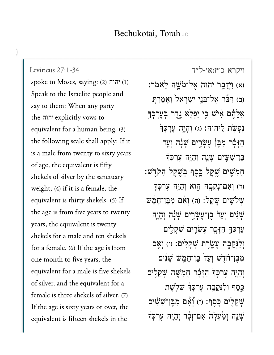[ויקרא כ״ז:א׳-ל״ד](https://www.sefaria.org/Leviticus%2027:1-34) [27:1-34 Leviticus](https://www.sefaria.org/Leviticus%2027:1-34) spoke to Moses, saying: (2) יהוה (2 Speak to the Israelite people and say to them: When any party the יהוה explicitly vows to equivalent for a human being, (3) the following scale shall apply: If it is a male from twenty to sixty years of age, the equivalent is fifty shekels of silver by the sanctuary weight; (4) if it is a female, the equivalent is thirty shekels. (5) If the age is from five years to twenty years, the equivalent is twenty shekels for a male and ten shekels for a female. (6) If the age is from one month to five years, the equivalent for a male is five shekels of silver, and the equivalent for a female is three shekels of silver. (7) If the age is sixty years or over, the equivalent is fifteen shekels in the

(א) וַיִּדַבֵּֽר יהוה אֱל־מֹשֱה לֵּאמְר: (ב) דַּבֵּר אֱל־ִבְנֵי יִשְׂרָאֵל וְאָמַרְתָּ ְאֲלֵהֶם אִי*ּיֹש כֵּי יַפְלֶא גֶדֶר בְּעֵרִכְּ*ךָ נְפַ<sup>ּ</sup>שָׂת לֵיהוה: (ג) וְהַיֵּה עֲרְכָּךְ הַזָּכָר מְבֵן עֵשְׂרֵים שָׁנָה וְעַד ָבֶּן־שִׁשְׁיִּם שָׁנָה וְהָיֶה עֵרְכִּךְ ָּחֲמְשֵׁיִם שֵׁקֵל בֵּפֵף בְּשֵׁקֵל הַקְּדֵּשׁ ּוֹד) וְאָם־נְקֵבָה הָוא וְהָיֶה עֲרִכְּךָ  $\psi$ לִשֵׁים שֱקֵל: (ה) וְאָם מְבֵן־חָמֶשׁ ֿשָׁנִים וְעַד<sup>ַי</sup> בֵּן־עֵשְׂרֵים שָׁנָּה וְהָיֵה ְעֵרְכָךְ הַזָּכֶר עֵשְׂרֵים שָׁקָלֶים וְלַנְקֵבֶה עֲשֱׂרֵת שָׁקָלִ<sup>יִ</sup>ם: (ו) וְאֵם מְבֵּן־חֹֹדֵשׁ וְעַדׂ בֵּן־חָמֵשׁ שָׁנִים וְהָיֶה עֶּרְכְּךָּ הַזָּבָר חֲמִשֶּׁה שְׁקָלִים ַכְּסֶף וְלַנְּקֵבָה עֵרְכְּדְּ שָׁלְשֶׁת ְּשׁקָלִים כָּסֵף: (ז) וְ<sub>ֹ</sub>אָם מְבֵן־*ִּשְׁיָ*ּשִׁים ֿשָׁנֶה וַמַּעִלַה אִם־זָכָר וְהָיֶה עֵרִכְּ<del>דָ</del>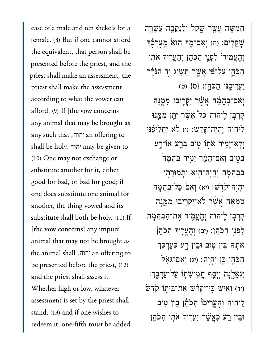case of a male and ten shekels for a female. (8) But if one cannot afford the equivalent, that person shall be presented before the priest, and the priest shall make an assessment; the priest shall make the assessment according to what the vower can afford. (9) If [the vow concerns] any animal that may be brought as any such that ,יהוה an offering to shall be holy. may be given to יהוה (10) One may not exchange or substitute another for it, either good for bad, or bad for good; if one does substitute one animal for another, the thing vowed and its substitute shall both be holy. (11) If [the vow concerns] any impure animal that may not be brought as the animal shall יהוה, the animal shall be presented before the priest, (12) and the priest shall assess it. Whether high or low, whatever assessment is set by the priest shall stand; (13) and if one wishes to redeem it, one-fifth must be added

ֲחִמָּׁ֥שה ָעָׂ֖שר ָׁ֑שֶקל ְוַלְּנֵקָ֖בה ֲעָׂשָ֥רה ֿשָׁקָלִים: (ח) וְאָם־מֶךְ הוּא מֵעֲרִבֶּךְ וְהֵעֵמִידוֹ לִפְנֵי הַכֹּהֵ֫ן וְהֶעֱרֵיוִּ אֹתִוֹ ַהַכֹּהֶן עַל־פִּׁי אֲשֶׁר תַּשִׂיג<u>' יַ</u>ד הַנֹּדֶר ַיֲעִריֶ֖כּנּו ַהֹּכֵֽהן׃ }ס{ )ט( וְאָם־בְּהֵמֶּה אֲשֶׁר יַקְרֶיבוּ מִמֱנָּה ַקְרְבֶּן לִיהוּה כֹּל אֲשֶׁר יִתֵּֽן מִמֶּֽנּוּ ַלִּיהוּה יְהָיֶה־קִׂדֵ<sup>יְ</sup>שׁ: (י) לְא יַחֲלִיפָּנּוּ וִי<sup>ְא</sup>ִיַּמִיר אֹתֵו טְוֹב בְּרֵע אוֹ־רֵע ַבְּטְוֹב וְאָם־הָמֶ֫ר יָמְיר בְּהֶמָה ּבְבָהֶמָּׁה וְהָיָה־הִוּא וּתְמוּרַתְוֹ יִהְיֶה־קְּדֶשׁ: (יא) וְאָם כָּל־בִּהֲמֶה ְטֵמָ֔אה ֲ֠אֶׁ֠שר ֹלא־ַיְקִ֧ריבּו ִמֶּ֛מָּנה ׇקְרָּ֖בן ַֽליהוה ְוֶֽהֱעִ֥מיד ֶאת־ַהְּבֵהָ֖מה ַלְפָּנֵי הַכֹּהֵן: (יִב) וְהָעֵרִיִךְ הַכֹּהֵן ֹאֹתָׂה בֵּין טְוֹב וּבֵין רֶע כְּעֵרְכְּךָ ְהַכֹּהֶן כֵּ֣ן יִהְיֶה׃ (יג) וְאִם־גָּאָל יִּגְאָלֶנָּה וְיָסֵף חֲמִי*ֹּ*שִׁתְוֹ עַל־עֶרְכֶּךָּ:  $i$ יד) וְאִיּשׁ כֵּי־יַקְדָּשׁ אֱת־בֵּיתוֹ קֹרֵשׁ ַלִּיהוה וְהֶעֱרִיכוֹ הַכֹּהֶן בֵּין טְוֹב וּבֵין רָע כַּאֲשֶׁר יַעֲרִיךְ אֹתָו הַכֹּהֶן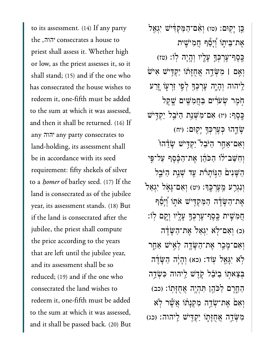to its assessment. (14) If any party the ,יהוה consecrates a house to priest shall assess it. Whether high or low, as the priest assesses it, so it shall stand; (15) and if the one who has consecrated the house wishes to redeem it, one-fifth must be added to the sum at which it was assessed, and then it shall be returned. (16) If any any party consecrates to יהוהland-holding, its assessment shall be in accordance with its seed requirement: fifty shekels of silver to a *homer* of barley seed. (17) If the land is consecrated as of the jubilee year, its assessment stands. (18) But if the land is consecrated after the jubilee, the priest shall compute the price according to the years that are left until the jubilee year, and its assessment shall be so reduced; (19) and if the one who consecrated the land wishes to redeem it, one-fifth must be added to the sum at which it was assessed, and it shall be passed back. (20) But

ַּבְּן יְקְוּם: (טו) וְאָם־הַמַּקְדִּ֫יֹשׁ יִגְאַל אֶת־בֵּיתָו<sub>ֹ</sub> וְיָפָר חֲמִיּשֶׁית ַּכְּסֶף־עָׁרְבְּךָּ עָלְיו וְהָיָה לְוֹ: (טז) ְוִ֣אם **׀** ִמְּׂשֵ֣דה ֲאֻחָּז֗תֹו ַיְקִּ֥דיׁש ִאיׁ֙ש ַלִיהוה וְהָיֶה עֶרְכְּךָּ לְפִי זַרְעָוֹ <u>יָ</u>זַרע ֹ֣חֶמר ְׂשֹעִ֔רים ַּבֲחִמִּׁ֖שים ֶׁ֥שֶקל ּבְּהֶיִּ $\mu$  אָם־מִשְׁנַת הַיּּבֵל יַקְדִּישׁ ָיֹּחֲדֶהוּ בְּעֶרְבְּךְּ יָקוּם: (יח $\psi$ וְאִם־אַחַר הַיּּבִל <u>ֿיִקְדִּישׁ שֲׂדֶ</u>ּהוּ וְחָשַׁב־לֹו הַכֹּהֶן אֶת־הַבֶּׁסֶף עַל־פֶּי הַשָּׁנִים הַנִּוֹתָרֹת עַד שָׁנֵת הַיֹּבֵל וְנְגְרַע מֱעֵרְכֵּךְ׃ (יט) וְאָם־גָּאָל יְגָאַל אֶת־הַשָּׂדֶה הַמַּקְדִּישׁ אֹתְוֹ וְיָפָר ֲחִמִׁ֧שית ֶּֽכֶסף־ֶעְרְּכָ֛ך ָעָ֖ליו ְוָ֥קם ֽלֹו׃ )כ( ְוִאם־ֹ֤לא ִיְגַא֙ל ֶאת־ַהָּׂשֶ֔דה וְאִם־מָכָר אֶת־הַשָּׂדֶה לְאֵישׁ אַחֵר ֹ֥לא ִיָּגֵ֖אל ֽעֹוד׃ )כא( ְוָהָ֨יה ַהָּׂשֶ֜דה ּבְּצֵאתְוֹ בִיּּבָׁל קֶדֶשׁ לַיהוה כִּשְׂדֶה הַחֱרֶם לַלֹּהֶן תִּהְיֶה אֲחֻזָּתוֹ׃ (כב) וְאָם אֶת־שָׂדֶה מְקִנָּתוֹ אֲשֶׁר לְּא מְּשָׂדֶה אֲחֻזָּתְוֹ יַקְדִּישׁ לֵיהוה: (כג)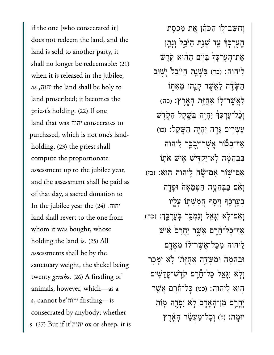if the one [who consecrated it] does not redeem the land, and the land is sold to another party, it shall no longer be redeemable: (21) when it is released in the jubilee, as ,יהוה, the land shall be holy to land proscribed; it becomes the priest's holding. (22) If one land that was יהוה consecrates to purchased, which is not one's landholding, (23) the priest shall compute the proportionate assessment up to the jubilee year, and the assessment shall be paid as of that day, a sacred donation to In the jubilee year the )24( . יהוהland shall revert to the one from whom it was bought, whose holding the land is. (25) All assessments shall be by the sanctuary weight, the shekel being twenty *gerahs*. (26) A firstling of animals, however, which—as a s, cannot be'יהוה firstling—is consecrated by anybody; whether s. (27) But if it'יהוה ox or sheep, it is

וְחָשַׁב־לִו הַכֹּהֵן אֱת מְכְסַת הֶעֵרְכִּךְ עַד שָׁנַת הַיּּבֵל וְנָתַן ּאֶת־הָעֶרְכְּךְּ בַּיְּוֹם הַהוּא קְדֵשׁ ַלִּיהוה: (כד) בִּשְׁנֵת הַיּוֹבֵל יַשְׁוּב הַשָּׂדֶּה לַאֲשֶׁר קָנָהוּ מֵאִתְּוֹ ַלְאֲשֶׁר־לְוֹ אֲחָזֶּת הָאֲרֶץ׃ (כה) וְכָ֫ל־עֵרְכְּדְּ יְהֶיֶה בְּשֵׁקֵל הַקְּדֵ<sup>ּ</sup>ש ָעֵ**ׁשְׂרֵים גֶּרְה יְהָיֵה הַשֵּׁקֵל: (כו**) אַך־בְּבוֹר אֱשֶׁר־יְבִכֵּר לֵיהוה ּבְבְהֶמָּׁה לְאִ־יַקְדִּישׁ אֵישׁ אֹתִוֹ (כז) אם־שׁור אָם־שֶׂה לֵיהוה הוּא: וְאָם בַּבְּהֶמֶה הַטְמֶאֲהֹ וּפָדֵה ּבְעֵרְבֶּ֫דְּ וְיָסֵף הֲמִשָׁתְוֹ עָלֵיו ּוְאִם־לְאׁ יִגָּאֵל וְנִמְכַּר בְּעֵרְכֵֵךְ: (כח) ַאֲך־כַּל־חֶרֶם אֲשֶׁר יַחֲרָם אִישׁ ַלֵּיהוּה מִכָּל־אֲשֶׁר־לֹוֹ מֵאֲדֵם ּוְבֵהָמ֙ה ּוִמְּׂשֵ֣דה ֲאֻחָּז֔תֹו ֹ֥לא ִיָּמֵ֖כר וְלְא יִגְאֵל כָּל־חֵרֶם קְדֶשׁ־קָדָ<sup>יָ</sup>שִׁים הִוּא לַיהוה: (כט) כָּל־דֶׂרֵם אֲשֶׁר יָחֲרֵם מְן־הָאָדָם לְא יִפָּדֶה מִוֹת יּוּמֵת: (ל) וְכַל־מַעָּשַׂר הָאֲרֶץ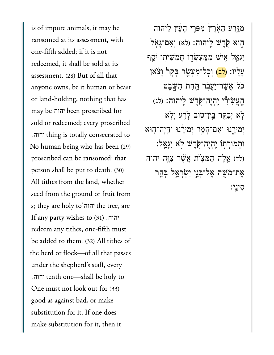is of impure animals, it may be ransomed at its assessment, with one-fifth added; if it is not redeemed, it shall be sold at its assessment. (28) But of all that anyone owns, be it human or beast or land-holding, nothing that has may be been proscribed for יהוה sold or redeemed; every proscribed . thing is totally consecrated to יהוה No human being who has been (29) proscribed can be ransomed: that person shall be put to death. (30) All tithes from the land, whether seed from the ground or fruit from s; they are holy to'יהוה the tree, are יהוה. (31) If any party wishes to redeem any tithes, one-fifth must be added to them. (32) All tithes of the herd or flock—of all that passes under the shepherd's staff, every . tenth one—shall be holy to יהוהOne must not look out for (33) good as against bad, or make substitution for it. If one does make substitution for it, then it

מְזֶרַע הָאָׂרֶץ מִפְּרִי הָעֵּׁץ לַיהוה ֿהָוּא קְדֵשׁ לֵיהוה: (לֹא) וְאָם־גָּאָל יִגְאֲל אִישׁ מִמַּעֲשָׂרָו חֲמִשִׁיתְוֹ יֹםֵ**ף** ַעֲלֵיו: <mark>(לִב)</mark> וְכָל־מַעָּשֵׂר בָּקָר וַצֹּאן ּכֹּל אֲשֶׁר־יַעֲבְר הַּחַת הַשֶּׁבֵט  $\mu$ יִהְיָה־קֶּדֶשׁ לִיהוה: (לג) יִבְקֵר בֵּין־טְוֹב לָרֵע וְלְא יִמִירֵֽנּוּ וְאָם־הָמֵר יִמְירָנּוּ וְהָיָה־הָוּא ּוְתמּוָר֛תֹו ִֽיְהֶיה־ֹּ֖קֶדׁש ֹ֥לא ִיָּגֵֽאל׃ לד) אֱלֶּה הַמִּצְוֹת אֲשֶׁר צִוְֶּה יהוה אַת־מֹּשֵׁה אֵל־בְּנֵי יִשְׂרָאֱל בְּהַר ִסיָֽני׃